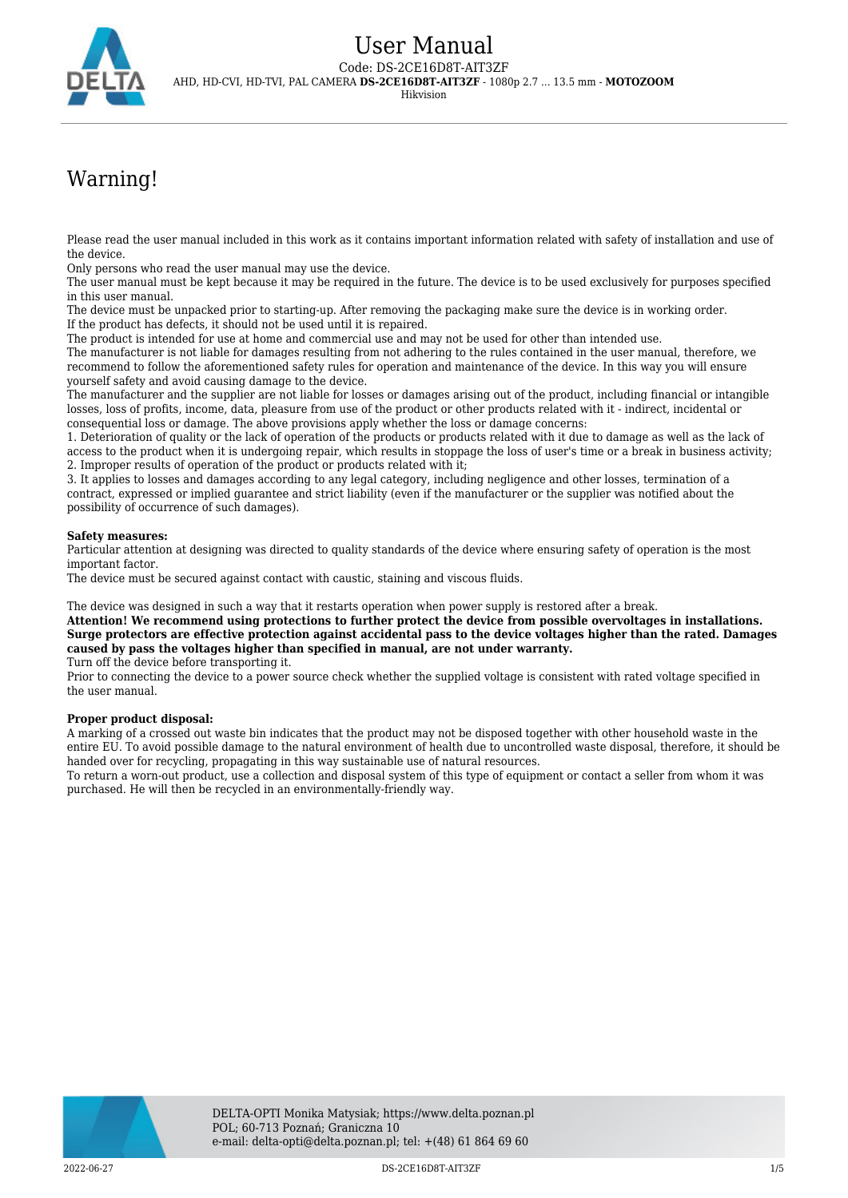

# Warning!

Please read the user manual included in this work as it contains important information related with safety of installation and use of the device.

Only persons who read the user manual may use the device.

The user manual must be kept because it may be required in the future. The device is to be used exclusively for purposes specified in this user manual.

The device must be unpacked prior to starting-up. After removing the packaging make sure the device is in working order. If the product has defects, it should not be used until it is repaired.

The product is intended for use at home and commercial use and may not be used for other than intended use.

The manufacturer is not liable for damages resulting from not adhering to the rules contained in the user manual, therefore, we recommend to follow the aforementioned safety rules for operation and maintenance of the device. In this way you will ensure yourself safety and avoid causing damage to the device.

The manufacturer and the supplier are not liable for losses or damages arising out of the product, including financial or intangible losses, loss of profits, income, data, pleasure from use of the product or other products related with it - indirect, incidental or consequential loss or damage. The above provisions apply whether the loss or damage concerns:

1. Deterioration of quality or the lack of operation of the products or products related with it due to damage as well as the lack of access to the product when it is undergoing repair, which results in stoppage the loss of user's time or a break in business activity; 2. Improper results of operation of the product or products related with it;

3. It applies to losses and damages according to any legal category, including negligence and other losses, termination of a contract, expressed or implied guarantee and strict liability (even if the manufacturer or the supplier was notified about the possibility of occurrence of such damages).

#### **Safety measures:**

Particular attention at designing was directed to quality standards of the device where ensuring safety of operation is the most important factor.

The device must be secured against contact with caustic, staining and viscous fluids.

The device was designed in such a way that it restarts operation when power supply is restored after a break.

**Attention! We recommend using protections to further protect the device from possible overvoltages in installations. Surge protectors are effective protection against accidental pass to the device voltages higher than the rated. Damages caused by pass the voltages higher than specified in manual, are not under warranty.**

Turn off the device before transporting it.

Prior to connecting the device to a power source check whether the supplied voltage is consistent with rated voltage specified in the user manual.

#### **Proper product disposal:**

A marking of a crossed out waste bin indicates that the product may not be disposed together with other household waste in the entire EU. To avoid possible damage to the natural environment of health due to uncontrolled waste disposal, therefore, it should be handed over for recycling, propagating in this way sustainable use of natural resources.

To return a worn-out product, use a collection and disposal system of this type of equipment or contact a seller from whom it was purchased. He will then be recycled in an environmentally-friendly way.

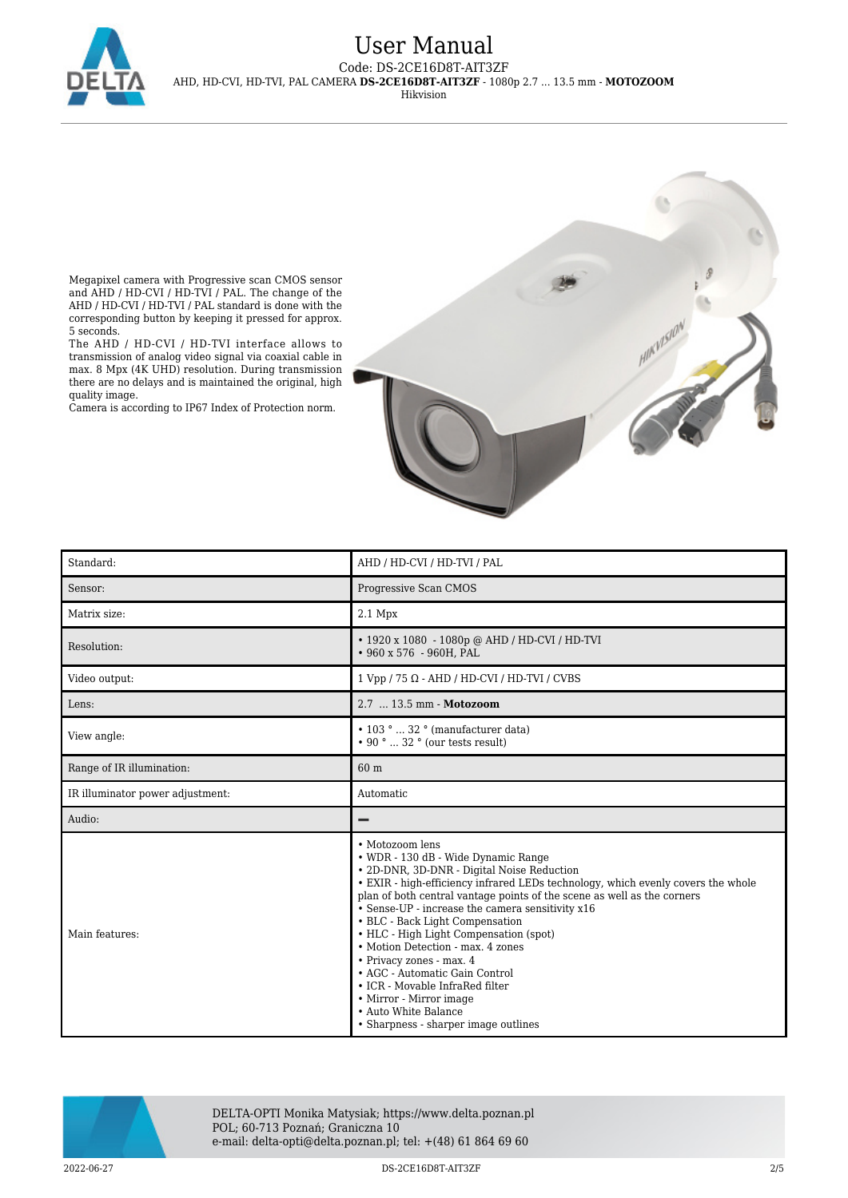

# User Manual Code: DS-2CE16D8T-AIT3ZF AHD, HD-CVI, HD-TVI, PAL CAMERA **DS-2CE16D8T-AIT3ZF** - 1080p 2.7 ... 13.5 mm - **MOTOZOOM**

Hikvision

Megapixel camera with Progressive scan CMOS sensor and AHD / HD-CVI / HD-TVI / PAL. The change of the AHD / HD-CVI / HD-TVI / PAL standard is done with the corresponding button by keeping it pressed for approx. 5 seconds.

The AHD / HD-CVI / HD-TVI interface allows to transmission of analog video signal via coaxial cable in max. 8 Mpx (4K UHD) resolution. During transmission there are no delays and is maintained the original, high quality image.

Camera is according to IP67 Index of Protection norm.



| Standard:                        | AHD / HD-CVI / HD-TVI / PAL                                                                                                                                                                                                                                                                                                                                                                                                                                                                                                                                                                                                           |
|----------------------------------|---------------------------------------------------------------------------------------------------------------------------------------------------------------------------------------------------------------------------------------------------------------------------------------------------------------------------------------------------------------------------------------------------------------------------------------------------------------------------------------------------------------------------------------------------------------------------------------------------------------------------------------|
| Sensor:                          | Progressive Scan CMOS                                                                                                                                                                                                                                                                                                                                                                                                                                                                                                                                                                                                                 |
| Matrix size:                     | 2.1 Mpx                                                                                                                                                                                                                                                                                                                                                                                                                                                                                                                                                                                                                               |
| Resolution:                      | • 1920 x 1080 - 1080p @ AHD / HD-CVI / HD-TVI<br>• 960 x 576 - 960H, PAL                                                                                                                                                                                                                                                                                                                                                                                                                                                                                                                                                              |
| Video output:                    | $1 Vpp / 75 \Omega - AHD / HD-CVI / HD-TVI / CVBS$                                                                                                                                                                                                                                                                                                                                                                                                                                                                                                                                                                                    |
| Lens:                            | 2.7  13.5 mm - Motozoom                                                                                                                                                                                                                                                                                                                                                                                                                                                                                                                                                                                                               |
| View angle:                      | • 103 °  32 ° (manufacturer data)<br>$\cdot$ 90 °  32 ° (our tests result)                                                                                                                                                                                                                                                                                                                                                                                                                                                                                                                                                            |
| Range of IR illumination:        | 60 m                                                                                                                                                                                                                                                                                                                                                                                                                                                                                                                                                                                                                                  |
| IR illuminator power adjustment: | Automatic                                                                                                                                                                                                                                                                                                                                                                                                                                                                                                                                                                                                                             |
| Audio:                           |                                                                                                                                                                                                                                                                                                                                                                                                                                                                                                                                                                                                                                       |
| Main features:                   | • Motozoom lens<br>• WDR - 130 dB - Wide Dynamic Range<br>• 2D-DNR, 3D-DNR - Digital Noise Reduction<br>• EXIR - high-efficiency infrared LEDs technology, which evenly covers the whole<br>plan of both central vantage points of the scene as well as the corners<br>• Sense-UP - increase the camera sensitivity x16<br>• BLC - Back Light Compensation<br>• HLC - High Light Compensation (spot)<br>• Motion Detection - max, 4 zones<br>• Privacy zones - max. 4<br>• AGC - Automatic Gain Control<br>• ICR - Movable InfraRed filter<br>• Mirror - Mirror image<br>• Auto White Balance<br>• Sharpness - sharper image outlines |



DELTA-OPTI Monika Matysiak; https://www.delta.poznan.pl POL; 60-713 Poznań; Graniczna 10 e-mail: delta-opti@delta.poznan.pl; tel: +(48) 61 864 69 60

2022-06-27 DS-2CE16D8T-AIT3ZF 2/5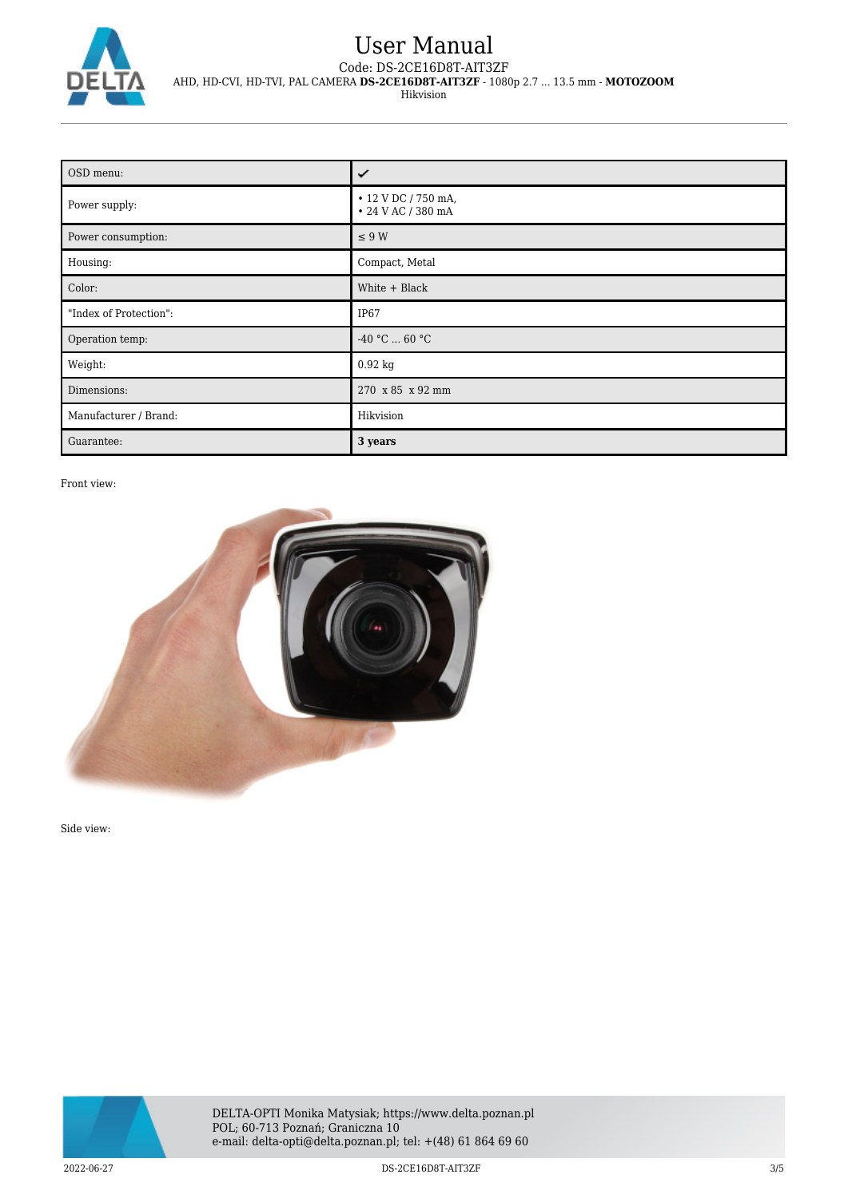

## User Manual Code: DS-2CE16D8T-AIT3ZF AHD, HD-CVI, HD-TVI, PAL CAMERA **DS-2CE16D8T-AIT3ZF** - 1080p 2.7 ... 13.5 mm - **MOTOZOOM** Hikvision

| OSD menu:              | ✓                                         |
|------------------------|-------------------------------------------|
| Power supply:          | • 12 V DC / 750 mA,<br>• 24 V AC / 380 mA |
| Power consumption:     | $\leq 9$ W                                |
| Housing:               | Compact, Metal                            |
| Color:                 | White + Black                             |
| "Index of Protection": | IP <sub>67</sub>                          |
| Operation temp:        | -40 °C $\ldots$ 60 °C                     |
| Weight:                | $0.92$ kg                                 |
| Dimensions:            | 270 x 85 x 92 mm                          |
| Manufacturer / Brand:  | Hikvision                                 |
| Guarantee:             | 3 years                                   |

#### Front view:



Side view:



DELTA-OPTI Monika Matysiak; https://www.delta.poznan.pl POL; 60-713 Poznań; Graniczna 10 e-mail: delta-opti@delta.poznan.pl; tel: +(48) 61 864 69 60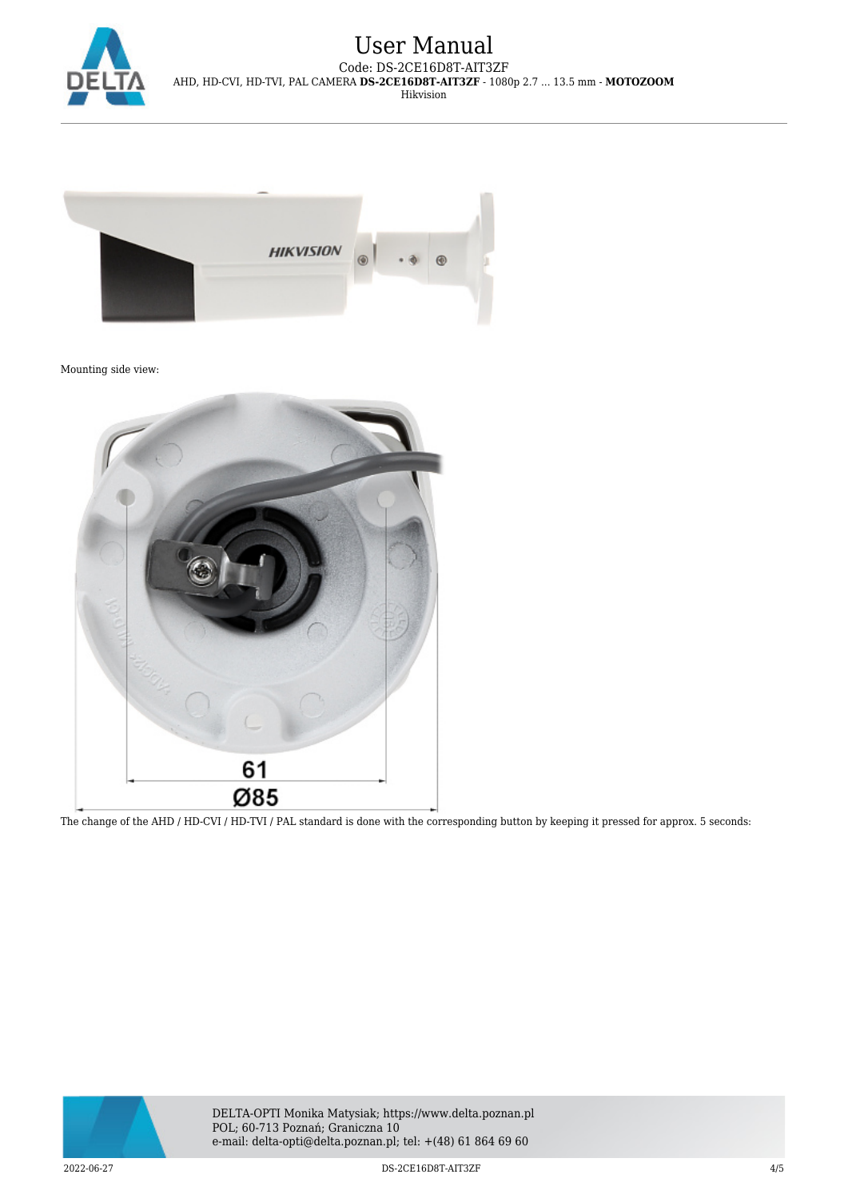

## User Manual Code: DS-2CE16D8T-AIT3ZF AHD, HD-CVI, HD-TVI, PAL CAMERA **DS-2CE16D8T-AIT3ZF** - 1080p 2.7 ... 13.5 mm - **MOTOZOOM** Hikvision



Mounting side view:



The change of the AHD / HD-CVI / HD-TVI / PAL standard is done with the corresponding button by keeping it pressed for approx. 5 seconds: